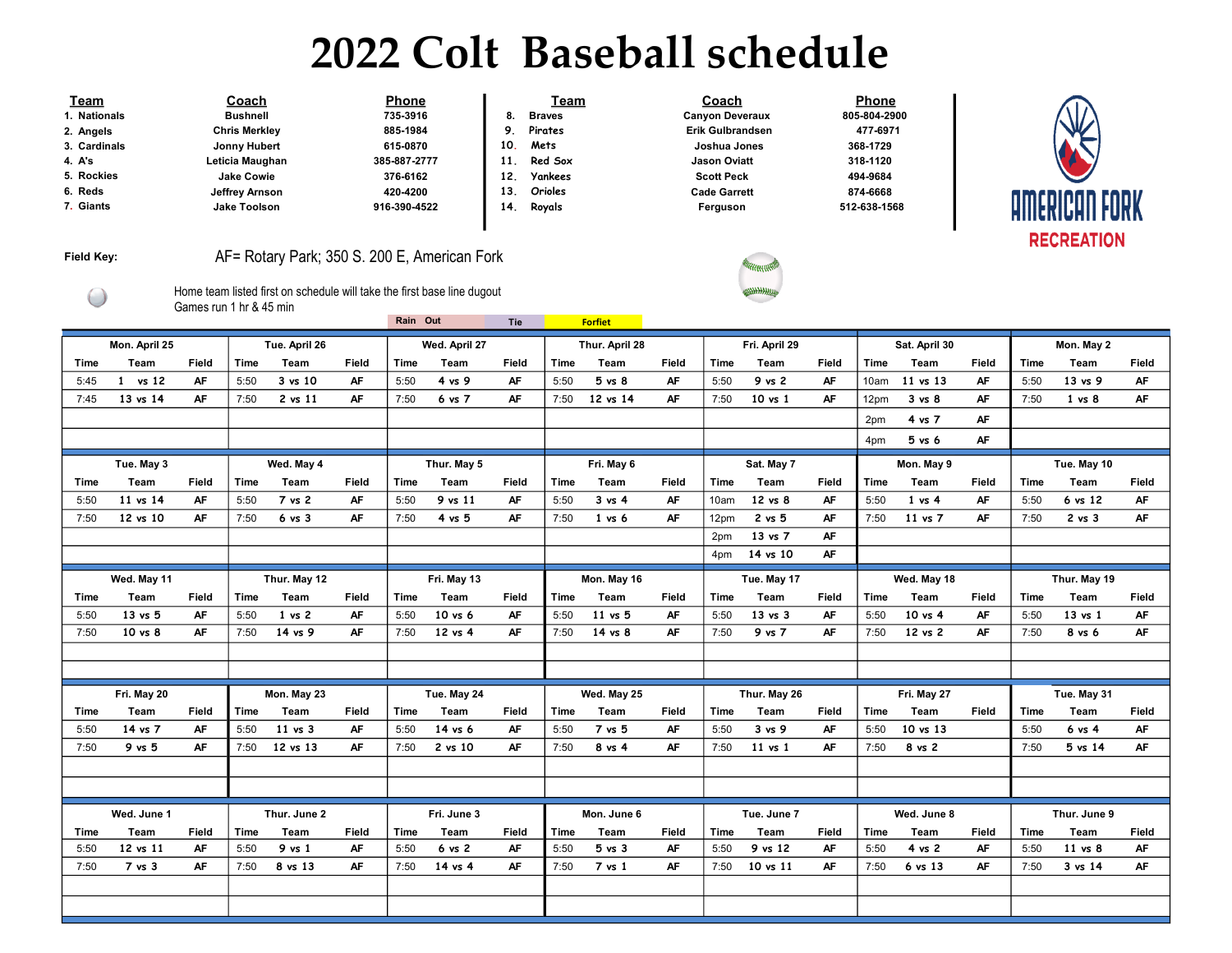## 2022 Colt Baseball schedule

| Team         | Coach                | <b>Phone</b> |     | Team          | Coach                   | <b>Phone</b> |
|--------------|----------------------|--------------|-----|---------------|-------------------------|--------------|
| 1. Nationals | <b>Bushnell</b>      | 735-3916     | 8.  | <b>Braves</b> | <b>Canyon Deveraux</b>  | 805-804-2900 |
| 2. Angels    | <b>Chris Merkley</b> | 885-1984     |     | Pirates       | <b>Erik Gulbrandsen</b> | 477-6971     |
| 3. Cardinals | Jonny Hubert         | 615-0870     | 10  | Mets          | Joshua Jones            | 368-1729     |
| 4. A's       | Leticia Maughan      | 385-887-2777 | 11. | Red Sox       | <b>Jason Oviatt</b>     | 318-1120     |
| 5. Rockies   | <b>Jake Cowie</b>    | 376-6162     | 12  | Yankees       | <b>Scott Peck</b>       | 494-9684     |
| 6. Reds      | Jeffrey Arnson       | 420-4200     | 13  | Orioles       | <b>Cade Garrett</b>     | 874-6668     |
| 7. Giants    | <b>Jake Toolson</b>  | 916-390-4522 | 14. | Royals        | Ferguson                | 512-638-1568 |
|              |                      |              |     |               |                         |              |

## Field Key:

 $\bigcup$ 

## AF= Rotary Park; 350 S. 200 E, American Fork

| Coach               |    |
|---------------------|----|
| anyon Deveraux      | 80 |
| Erik Gulbrandsen    |    |
| Joshua Jones        | 3  |
| <b>Jason Oviatt</b> | 3  |
| <b>Scott Peck</b>   |    |
| <b>Cade Garrett</b> | ۶  |
| Ferguson            | 51 |
|                     |    |





|              |                    |             |              |                   |             |               |                           | пе          |                | <b>Forriet</b>     |             |               |                 |             |              |                       |             |              |                    |          |
|--------------|--------------------|-------------|--------------|-------------------|-------------|---------------|---------------------------|-------------|----------------|--------------------|-------------|---------------|-----------------|-------------|--------------|-----------------------|-------------|--------------|--------------------|----------|
|              | Mon. April 25      |             |              | Tue. April 26     |             | Wed. April 27 |                           |             | Thur. April 28 |                    |             | Fri. April 29 |                 |             |              | Sat. April 30         |             | Mon. May 2   |                    |          |
| Time         | Team               | Field       | Time         | Team              | Field       | Time          | Team                      | Field       | Time           | Team               | Field       | Time          | Team            | Field       | Time         | Team                  | Field       | Time         | Team               | Field    |
| 5:45         | $1$ vs $12$        | AF          | 5:50         | 3 vs 10           | AF          | 5:50          | 4 vs 9                    | AF          | 5:50           | $5$ vs $8$         | AF          | 5:50          | 9 vs 2          | AF          | 10am         | 11 vs 13              | AF          | 5:50         | 13 vs 9            | AF       |
| 7:45         | 13 vs 14           | AF          | 7:50         | 2 vs 11           | AF          | 7:50          | 6 vs 7                    | AF          | 7:50           | 12 vs 14           | <b>AF</b>   | 7:50          | 10 vs 1         | AF          | 12pm         | $3 \text{ vs } 8$     | AF          | 7:50         | $1 \text{ vs } 8$  | AF       |
|              |                    |             |              |                   |             |               |                           |             |                |                    |             |               |                 |             | 2pm          | 4 vs 7                | AF          |              |                    |          |
|              |                    |             |              |                   |             |               |                           |             |                |                    |             |               |                 |             | 4pm          | $5$ vs $6$            | AF          |              |                    |          |
|              | Tue. May 3         |             |              | Wed. May 4        |             | Thur. May 5   |                           |             | Fri. May 6     |                    |             | Sat. May 7    |                 |             | Mon. May 9   |                       |             | Tue. May 10  |                    |          |
| Time         | Team               | Field       | Time         | Team              | Field       | Time          | Team                      | Field       | Time           | Team               | Field       | Time          | Team            | Field       | Time         | Team                  | Field       | Time         | Team               | Field    |
| 5:50         | 11 vs 14           | AF          | 5:50         | 7 vs 2            | AF          | 5:50          | 9 vs 11                   | AF          | 5:50           | $3$ vs $4$         | AF          | 10am          | 12 vs 8         | AF          | 5:50         | $1$ vs $4$            | AF          | 5:50         | 6 vs 12            | AF       |
| 7:50         | 12 vs 10           | AF          | 7:50         | $6$ vs $3$        | AF          | 7:50          | 4 vs 5                    | AF          | 7:50           | $1$ vs $6$         | AF          | 12pm          | 2 vs 5          | <b>AF</b>   | 7:50         | 11 vs 7               | AF          | 7:50         | $2$ vs $3$         | AF       |
|              |                    |             |              |                   |             |               |                           |             |                |                    |             | 2pm           | 13 vs 7         | AF          |              |                       |             |              |                    |          |
|              |                    |             |              |                   |             |               |                           |             |                |                    |             | 4pm           | 14 vs 10        | AF          |              |                       |             |              |                    |          |
|              | Wed. May 11        |             |              | Thur. May 12      |             | Fri. May 13   |                           | Mon. May 16 |                | Tue. May 17        |             |               | Wed. May 18     |             |              | Thur. May 19          |             |              |                    |          |
| Time         | Team               | Field       | Time         | Team              | Field       | Time          | Team                      | Field       | Time           | Team               | Field       | Time          | Team            | Field       | Time         | Team                  | Field       | Time         | Team               | Field    |
| 5:50         | 13 vs 5            | AF          | 5:50         | $1 \text{ vs } 2$ | AF          | 5:50          | 10 vs 6                   | AF          | 5:50           | 11 vs 5            | AF          | 5:50          | 13 vs 3         | AF          | 5:50         | 10 vs 4               | AF          | 5:50         | 13 vs 1            | AF       |
| 7:50         | 10 vs 8            | AF          | 7:50         | 14 vs 9           | AF          | 7:50          | 12 vs 4                   | AF          | 7:50           | 14 vs 8            | AF          | 7:50          | 9 vs 7          | AF          | 7:50         | 12 vs 2               | AF          | 7:50         | 8 vs 6             | AF       |
|              |                    |             |              |                   |             |               |                           |             |                |                    |             |               |                 |             |              |                       |             |              |                    |          |
|              |                    |             |              |                   |             |               |                           |             |                |                    |             |               |                 |             |              |                       |             |              |                    |          |
|              | Fri. May 20        |             |              | Mon. May 23       |             |               | Tue. May 24               |             |                | Wed. May 25        |             |               | Thur. May 26    |             |              | Fri. May 27           |             |              | Tue. May 31        |          |
| Time         | Team               | Field       | Time         | Team              | Field       | Time          | Team                      | Field       | Time           | Team               | Field       | Time          | Team            | Field       | Time         | Team                  | Field       | Time         | Team               | Field    |
| 5:50         | 14 vs 7            | AF          | 5:50         | $11$ vs $3$       | AF          | 5:50          | $14$ vs $6$               | AF          | 5:50           | 7 vs 5             | AF          | 5:50          | 3 vs 9          | AF          | 5:50         | 10 vs 13              |             | 5:50         | $6$ vs $4$         | AF       |
| 7:50         | 9 vs 5             | AF          | 7:50         | 12 vs 13          | AF          | 7:50          | 2 vs 10                   | AF          | 7:50           | 8 vs 4             | AF          | 7:50          | $11$ vs $1$     | AF          | 7:50         | 8 vs 2                |             | 7:50         | 5 vs 14            | AF       |
|              |                    |             |              |                   |             |               |                           |             |                |                    |             |               |                 |             |              |                       |             |              |                    |          |
|              |                    |             |              |                   |             |               |                           |             |                |                    |             |               |                 |             |              |                       |             |              |                    |          |
|              |                    |             |              |                   |             |               |                           |             |                |                    |             |               |                 |             |              |                       |             |              |                    |          |
|              | Wed. June 1        |             |              | Thur. June 2      |             |               | Fri. June 3               |             | Mon. June 6    |                    |             | Tue. June 7   |                 |             | Wed. June 8  |                       |             | Thur. June 9 |                    |          |
| Time         | Team               | Field<br>AF | Time<br>5:50 | Team              | Field<br>AF | Time          | Team                      | Field<br>AF | Time           | Team<br>$5$ vs $3$ | Field<br>AF | Time          | Team<br>9 vs 12 | Field<br>AF | Time         | Team                  | Field<br>AF | Time         | Team               | Field    |
| 5:50<br>7:50 | 12 vs 11<br>7 vs 3 | AF          | 7:50         | 9 vs 1<br>8 vs 13 | AF          | 5:50<br>7:50  | $6$ vs $2$<br>$14$ vs $4$ | AF          | 5:50<br>7:50   | 7 vs 1             | AF          | 5:50<br>7:50  | 10 vs 11        | AF          | 5:50<br>7:50 | $4$ vs $2$<br>6 vs 13 | AF          | 5:50<br>7:50 | 11 vs 8<br>3 vs 14 | AF<br>AF |
|              |                    |             |              |                   |             |               |                           |             |                |                    |             |               |                 |             |              |                       |             |              |                    |          |
|              |                    |             |              |                   |             |               |                           |             |                |                    |             |               |                 |             |              |                       |             |              |                    |          |
|              |                    |             |              |                   |             |               |                           |             |                |                    |             |               |                 |             |              |                       |             |              |                    |          |